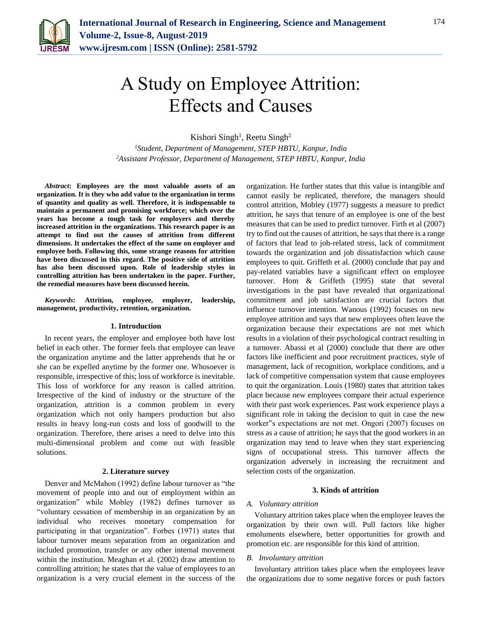

# A Study on Employee Attrition: Effects and Causes

Kishori Singh<sup>1</sup>, Reetu Singh<sup>2</sup>

*<sup>1</sup>Student, Department of Management, STEP HBTU, Kanpur, India 2Assistant Professor, Department of Management, STEP HBTU, Kanpur, India*

*Abstract***: Employees are the most valuable assets of an organization. It is they who add value to the organization in terms of quantity and quality as well. Therefore, it is indispensable to maintain a permanent and promising workforce; which over the years has become a tough task for employers and thereby increased attrition in the organizations. This research paper is an attempt to find out the causes of attrition from different dimensions. It undertakes the effect of the same on employer and employee both. Following this, some strange reasons for attrition have been discussed in this regard. The positive side of attrition has also been discussed upon. Role of leadership styles in controlling attrition has been undertaken in the paper. Further, the remedial measures have been discussed herein.**

*Keywords***: Attrition, employee, employer, leadership, management, productivity, retention, organization.**

#### **1. Introduction**

In recent years, the employer and employee both have lost belief in each other. The former feels that employee can leave the organization anytime and the latter apprehends that he or she can be expelled anytime by the former one. Whosoever is responsible, irrespective of this; loss of workforce is inevitable. This loss of workforce for any reason is called attrition. Irrespective of the kind of industry or the structure of the organization, attrition is a common problem in every organization which not only hampers production but also results in heavy long-run costs and loss of goodwill to the organization. Therefore, there arises a need to delve into this multi-dimensional problem and come out with feasible solutions.

#### **2. Literature survey**

Denver and McMahon (1992) define labour turnover as "the movement of people into and out of employment within an organization" while Mobley (1982) defines turnover as "voluntary cessation of membership in an organization by an individual who receives monetary compensation for participating in that organization". Forbes (1971) states that labour turnover means separation from an organization and included promotion, transfer or any other internal movement within the institution. Meaghan et al. (2002) draw attention to controlling attrition; he states that the value of employees to an organization is a very crucial element in the success of the organization. He further states that this value is intangible and cannot easily be replicated, therefore, the managers should control attrition, Mobley (1977) suggests a measure to predict attrition, he says that tenure of an employee is one of the best measures that can be used to predict turnover. Firth et al (2007) try to find out the causes of attrition, he says that there is a range of factors that lead to job-related stress, lack of commitment towards the organization and job dissatisfaction which cause employees to quit. Griffeth et al. (2000) conclude that pay and pay-related variables have a significant effect on employee turnover. Hom & Griffeth (1995) state that several investigations in the past have revealed that organizational commitment and job satisfaction are crucial factors that influence turnover intention. Wanous (1992) focuses on new employee attrition and says that new employees often leave the organization because their expectations are not met which results in a violation of their psychological contract resulting in a turnover. Abassi et al (2000) conclude that there are other factors like inefficient and poor recruitment practices, style of management, lack of recognition, workplace conditions, and a lack of competitive compensation system that cause employees to quit the organization. Louis (1980) states that attrition takes place because new employees compare their actual experience with their past work experiences. Past work experience plays a significant role in taking the decision to quit in case the new worker"s expectations are not met. Ongori (2007) focuses on stress as a cause of attrition; he says that the good workers in an organization may tend to leave when they start experiencing signs of occupational stress. This turnover affects the organization adversely in increasing the recruitment and selection costs of the organization.

#### **3. Kinds of attrition**

#### *A. Voluntary attrition*

Voluntary attrition takes place when the employee leaves the organization by their own will. Pull factors like higher emoluments elsewhere, better opportunities for growth and promotion etc. are responsible for this kind of attrition.

#### *B. Involuntary attrition*

Involuntary attrition takes place when the employees leave the organizations due to some negative forces or push factors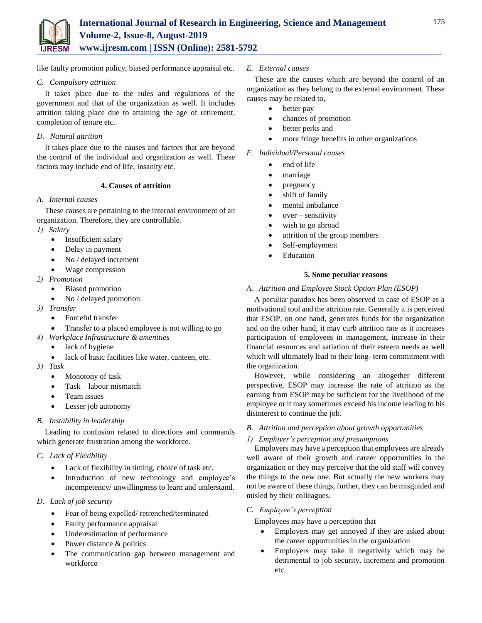

like faulty promotion policy, biased performance appraisal etc.

## *C. Compulsory attrition*

It takes place due to the rules and regulations of the government and that of the organization as well. It includes attrition taking place due to attaining the age of retirement, completion of tenure etc.

## *D. Natural attrition*

It takes place due to the causes and factors that are beyond the control of the individual and organization as well. These factors may include end of life, insanity etc.

## **4. Causes of attrition**

## *A. Internal causes*

These causes are pertaining to the internal environment of an organization. Therefore, they are controllable.

*1) Salary*

- Insufficient salary
- Delay in payment
- No / delayed increment
- Wage compression
- *2) Promotion*
	- Biased promotion
	- No / delayed promotion
- *3) Transfer*
	- Forceful transfer
	- Transfer to a placed employee is not willing to go
- *4) Workplace Infrastructure & amenities*
	- lack of hygiene
	- lack of basic facilities like water, canteen, etc.
- *5) Task*
	- Monotony of task
	- Task labour mismatch
	- Team issues
	- Lesser job autonomy
- *B. Instability in leadership*

Leading to confusion related to directions and commands which generate frustration among the workforce.

## *C. Lack of Flexibility*

- Lack of flexibility in timing, choice of task etc.
- Introduction of new technology and employee's incompetency/ unwillingness to learn and understand.
- *D. Lack of job security* 
	- Fear of being expelled/ retrenched/terminated
	- Faulty performance appraisal
	- Underestimation of performance
	- Power distance & politics
	- The communication gap between management and workforce

#### *E. External causes*

These are the causes which are beyond the control of an organization as they belong to the external environment. These causes may be related to,

- better pay
- chances of promotion
- better perks and
- more fringe benefits in other organizations

#### *F. Individual/Personal causes*

- end of life
- marriage
- pregnancy
- shift of family
- mental imbalance
- $\bullet$  over sensitivity
- wish to go abroad
- attrition of the group members
- Self-employment
- Education

#### **5. Some peculiar reasons**

#### *A. Attrition and Employee Stock Option Plan (ESOP)*

A peculiar paradox has been observed in case of ESOP as a motivational tool and the attrition rate. Generally it is perceived that ESOP, on one hand, generates funds for the organization and on the other hand, it may curb attrition rate as it increases participation of employees in management, increase in their financial resources and satiation of their esteem needs as well which will ultimately lead to their long- term commitment with the organization.

However, while considering an altogether different perspective, ESOP may increase the rate of attrition as the earning from ESOP may be sufficient for the livelihood of the employee or it may sometimes exceed his income leading to his disinterest to continue the job.

## *B. Attrition and perception about growth opportunities*

## *1) Employer's perception and presumptions*

Employers may have a perception that employees are already well aware of their growth and career opportunities in the organization or they may perceive that the old staff will convey the things to the new one. But actually the new workers may not be aware of these things, further, they can be misguided and misled by their colleagues.

#### *C. Employee's perception*

Employees may have a perception that

- Employers may get annoyed if they are asked about the career opportunities in the organization
- Employers may take it negatively which may be detrimental to job security, increment and promotion etc.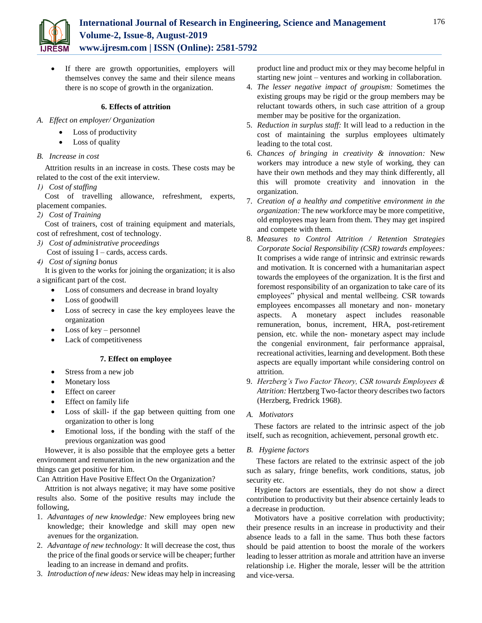

 If there are growth opportunities, employers will themselves convey the same and their silence means there is no scope of growth in the organization.

# **6. Effects of attrition**

- *A. Effect on employer/ Organization*
	- Loss of productivity
	- Loss of quality
- *B. Increase in cost*

Attrition results in an increase in costs. These costs may be related to the cost of the exit interview.

*1) Cost of staffing* 

Cost of travelling allowance, refreshment, experts, placement companies.

*2) Cost of Training*

Cost of trainers, cost of training equipment and materials, cost of refreshment, cost of technology.

*3) Cost of administrative proceedings*

Cost of issuing  $I - \text{cards}$ , access cards.

*4) Cost of signing bonus*

It is given to the works for joining the organization; it is also a significant part of the cost.

- Loss of consumers and decrease in brand loyalty
- Loss of goodwill
- Loss of secrecy in case the key employees leave the organization
- Loss of key personnel
- Lack of competitiveness

# **7. Effect on employee**

- Stress from a new job
- Monetary loss
- Effect on career
- Effect on family life
- Loss of skill- if the gap between quitting from one organization to other is long
- Emotional loss, if the bonding with the staff of the previous organization was good

However, it is also possible that the employee gets a better environment and remuneration in the new organization and the things can get positive for him.

Can Attrition Have Positive Effect On the Organization?

Attrition is not always negative; it may have some positive results also. Some of the positive results may include the following,

- 1. *Advantages of new knowledge:* New employees bring new knowledge; their knowledge and skill may open new avenues for the organization.
- 2. *Advantage of new technology:* It will decrease the cost, thus the price of the final goods or service will be cheaper; further leading to an increase in demand and profits.
- 3. *Introduction of new ideas:* New ideas may help in increasing

product line and product mix or they may become helpful in starting new joint – ventures and working in collaboration.

- 4. *The lesser negative impact of groupism:* Sometimes the existing groups may be rigid or the group members may be reluctant towards others, in such case attrition of a group member may be positive for the organization.
- 5. *Reduction in surplus staff:* It will lead to a reduction in the cost of maintaining the surplus employees ultimately leading to the total cost.
- 6. *Chances of bringing in creativity & innovation:* New workers may introduce a new style of working, they can have their own methods and they may think differently, all this will promote creativity and innovation in the organization.
- 7. *Creation of a healthy and competitive environment in the organization:* The new workforce may be more competitive, old employees may learn from them. They may get inspired and compete with them.
- 8. *Measures to Control Attrition / Retention Strategies Corporate Social Responsibility (CSR) towards employees:* It comprises a wide range of intrinsic and extrinsic rewards and motivation. It is concerned with a humanitarian aspect towards the employees of the organization. It is the first and foremost responsibility of an organization to take care of its employees" physical and mental wellbeing. CSR towards employees encompasses all monetary and non- monetary aspects. A monetary aspect includes reasonable remuneration, bonus, increment, HRA, post-retirement pension, etc. while the non- monetary aspect may include the congenial environment, fair performance appraisal, recreational activities, learning and development. Both these aspects are equally important while considering control on attrition.
- 9. *Herzberg's Two Factor Theory, CSR towards Employees & Attrition:* Hertzberg Two-factor theory describes two factors (Herzberg, Fredrick 1968).

# *A. Motivators*

These factors are related to the intrinsic aspect of the job itself, such as recognition, achievement, personal growth etc.

# *B. Hygiene factors*

These factors are related to the extrinsic aspect of the job such as salary, fringe benefits, work conditions, status, job security etc.

Hygiene factors are essentials, they do not show a direct contribution to productivity but their absence certainly leads to a decrease in production.

Motivators have a positive correlation with productivity; their presence results in an increase in productivity and their absence leads to a fall in the same. Thus both these factors should be paid attention to boost the morale of the workers leading to lesser attrition as morale and attrition have an inverse relationship i.e. Higher the morale, lesser will be the attrition and vice-versa.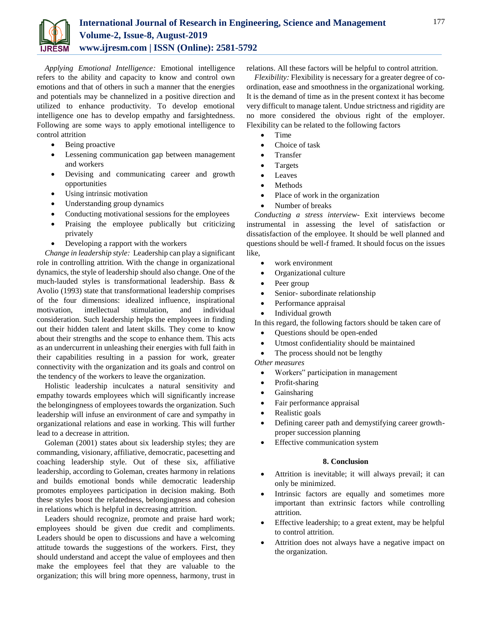

*Applying Emotional Intelligence:* Emotional intelligence refers to the ability and capacity to know and control own emotions and that of others in such a manner that the energies and potentials may be channelized in a positive direction and utilized to enhance productivity. To develop emotional intelligence one has to develop empathy and farsightedness. Following are some ways to apply emotional intelligence to control attrition

- Being proactive
- Lessening communication gap between management and workers
- Devising and communicating career and growth opportunities
- Using intrinsic motivation
- Understanding group dynamics
- Conducting motivational sessions for the employees
- Praising the employee publically but criticizing privately
- Developing a rapport with the workers

*Change in leadership style:* Leadership can play a significant role in controlling attrition. With the change in organizational dynamics, the style of leadership should also change. One of the much-lauded styles is transformational leadership. Bass & Avolio (1993) state that transformational leadership comprises of the four dimensions: idealized influence, inspirational motivation, intellectual stimulation, and individual consideration. Such leadership helps the employees in finding out their hidden talent and latent skills. They come to know about their strengths and the scope to enhance them. This acts as an undercurrent in unleashing their energies with full faith in their capabilities resulting in a passion for work, greater connectivity with the organization and its goals and control on the tendency of the workers to leave the organization.

Holistic leadership inculcates a natural sensitivity and empathy towards employees which will significantly increase the belongingness of employees towards the organization. Such leadership will infuse an environment of care and sympathy in organizational relations and ease in working. This will further lead to a decrease in attrition.

Goleman (2001) states about six leadership styles; they are commanding, visionary, affiliative, democratic, pacesetting and coaching leadership style. Out of these six, affiliative leadership, according to Goleman, creates harmony in relations and builds emotional bonds while democratic leadership promotes employees participation in decision making. Both these styles boost the relatedness, belongingness and cohesion in relations which is helpful in decreasing attrition.

Leaders should recognize, promote and praise hard work; employees should be given due credit and compliments. Leaders should be open to discussions and have a welcoming attitude towards the suggestions of the workers. First, they should understand and accept the value of employees and then make the employees feel that they are valuable to the organization; this will bring more openness, harmony, trust in relations. All these factors will be helpful to control attrition.

*Flexibility:* Flexibility is necessary for a greater degree of coordination, ease and smoothness in the organizational working. It is the demand of time as in the present context it has become very difficult to manage talent. Undue strictness and rigidity are no more considered the obvious right of the employer. Flexibility can be related to the following factors

- Time
- Choice of task
- Transfer
- Targets
- Leaves
- Methods
- Place of work in the organization
- Number of breaks

*Conducting a stress interview-* Exit interviews become instrumental in assessing the level of satisfaction or dissatisfaction of the employee. It should be well planned and questions should be well-f framed. It should focus on the issues like,

- work environment
- Organizational culture
- Peer group
- Senior- subordinate relationship
- Performance appraisal
- Individual growth

In this regard, the following factors should be taken care of

- Questions should be open-ended
- Utmost confidentiality should be maintained
- The process should not be lengthy

*Other measures*

- Workers" participation in management
- Profit-sharing
- Gainsharing
- Fair performance appraisal
- Realistic goals
- Defining career path and demystifying career growthproper succession planning
- Effective communication system

## **8. Conclusion**

- Attrition is inevitable; it will always prevail; it can only be minimized.
- Intrinsic factors are equally and sometimes more important than extrinsic factors while controlling attrition.
- Effective leadership; to a great extent, may be helpful to control attrition.
- Attrition does not always have a negative impact on the organization.